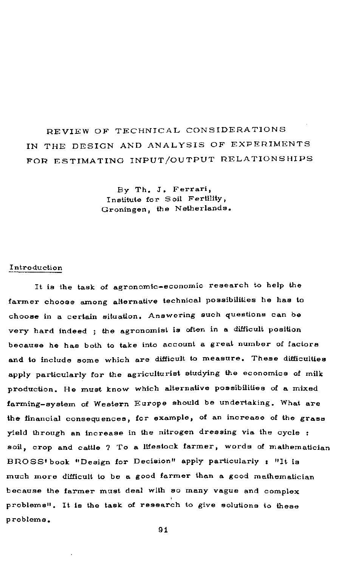# REVIEW OF TECHNICAL CONSIDERATIONS IN THE DESIGN AND ANALYSIS OF EXPERIMENTS FOR ESTIMATING INPUT/OUTPUT RELATIONSHIPS

By Th. J. Ferrari, Institute for Soil Fertility, Groningen, the Netherlands.

#### Introduction

It is the task of agronomic-economic research to help the farmer choose among alternative technical possibilities he has to choose in a certain situation. Answering such questions can be very hard indeed ; the agronomist is often in a difficult position because he has both to take into account a great number of factors and to include some which are difficult to measure. These difficulties apply particularly for the agriculturist studying the economics of milk production. He must know which alternative possibilities of a mixed farming-system of Western Europe should be undertaking. What are the financial consequences, for example, of an increase of the grass yield through an increase in the nitrogen dressing via the cycle : soil, crop and cattle ? To a lifestock farmer, words of mathematician BROSS'book "Design for Decision" apply particularly : "It is much more difficult to be a good farmer than a good mathematician because the farmer must deal with so many vague and complex problems". It is the task of research to give solutions to these problems.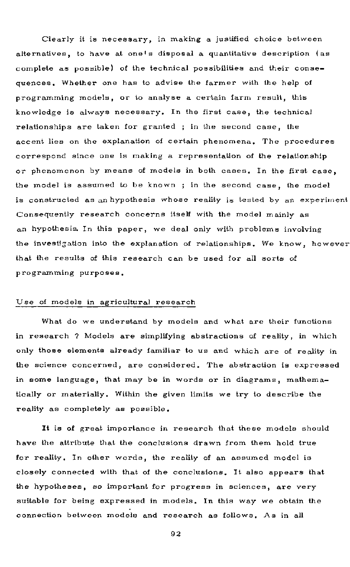Clearly it is necessary, in making a justified choice between alternatives, to have at one's disposal a quantitative description (as complete as possible) of the technical possibilities and their consequences. Whether one has to advise the farmer with the help of programming models, or to analyse a certain farm result, this knowledge is always necessary. In the first case, the technical relationships are taken for granted ; in the second case, the accent lies on the explanation of certain phenomena. The procedures correspond since one is making a representation of the relationship or phenomenon by means of models in both cases. In the first case, the model is assumed to be known; in the second case, the model is constructed as an hypothesis whose reality is tested by an experiment Consequently research concerns itself with the model mainly as an hypothesis. In this paper, we deal only with problems involving the investigation into the explanation of relationships. We know, however that the results of this research can be used for all sorts of programming purposes.

#### Use of models in agricultural research

What do we understand by models and what are their functions in research ? Models are simplifying abstractions of reality, in which only those elements already familiar to us and which are of reality in the science concerned, are considered. The abstraction is expressed in some language, that may be in words or in diagrams, mathematically or materially. Within the given limits we try to describe the reality as completely as possible.

It is of great importance in research that these models should have the attribute that the conclusions drawn from them hold true for reality. In other words, the reality of an assumed model is closely connected with that of the conclusions. It also appears that the hypotheses, so important for progress in sciences, are very suitable for being expressed in models. In this way we obtain the connection between models and research as follows. As in all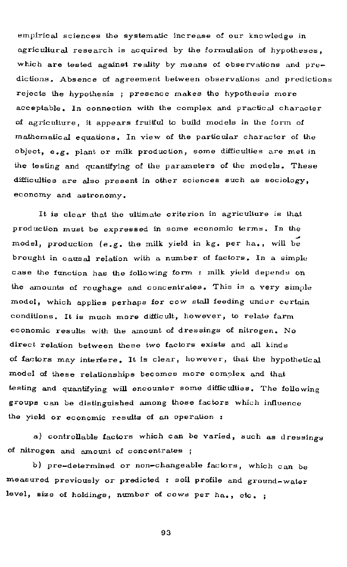empirical sciences the systematic increase of our knowledge in agricultural research is acquired by the formulation of hypotheses, which are tested against reality by means of observations and pre $$ dictions. Absence of agreement between observations and predictions rejects the hypothesis ; presence makes the hypothesis more acceptable. In connection with the complex and practical character of agriculture , it appears fruitful to build models in the form of mathematical equations. In view of the particular character of the  $object, e.g. plant or milk production, some difficulties are met in$ the testing and quantifying of the parameters of the models. These difficulties are also present in other sciences such as sociology, economy and astronomy .

It is clear that the ultimate criterion in agriculture is that production must be expressed in some economic terms. In the model, production (e.g. the milk yield in kg. per ha., will be brought in causal relation with a number of factors. In a simple case the function has the following form : milk yield depends on the amounts of roughage and concentrates. This is a very simple model, which applies perhaps for cow stall feeding under certain conditions. It is much more difficult, however, to relate farm economic results with the amount of dressings of nitrogen. No direct relation between these two factors exists and all kinds of factors may interfere . It is clear, however, that the hypothetical model of these relationships becomes more complex and that testing and quantifying will encounter some difficulties. The following groups can be distinguished among those factors which influence the yield or economic results of an operation :

a) controllable factors which can be varied, such as dressings of nitrogen and amount of concentrates;

b) pre-determined or non-changeable factors, which can be measured previously or predicted : soil profile and ground-water level, size of holdings, number of cows per ha., etc. ;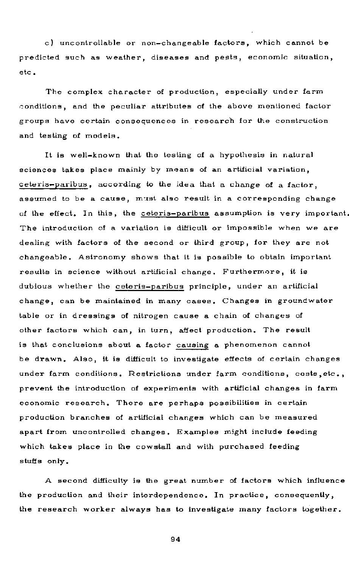c) uncontrollable or non-changeable factors, which cannot be predicted such as weather, diseases and pests, economic situation, etc.

The complex character of production, especially under farm conditions, and the peculiar attributes of the above mentioned factor groups have certain consequences in research for the construction and testing of models.

It is well-known that the testing of a hypothesis in natural sciences takes place mainly by means of an artificial variation, ceteris-paribus, according to the idea that a change of a factor. assumed to be a cause, must also result in a corresponding change of the effect. In this, the ceteris-paribus assumption is very important. The introduction of a variation is difficult or impossible when we are dealing with factors of the second or third group, for they are not changeable. Astronomy shows that it is possible to obtain important results in science without artificial change. Furthermore, it is dubious whether the ceteris-paribus principle, under an artificial change, can be maintained in many cases. Changes in groundwater table or in dressings of nitrogen cause a chain of changes of other factors which can, in turn, affect production. The result is that conclusions about a factor causing a phenomenon cannot be drawn. Also, it is difficult to investigate effects of certain changes under farm conditions. Restrictions under farm conditions, costs, etc., prevent the introduction of experiments with artificial changes in farm economic research. There are perhaps possibilities in certain production branches of artificial changes which can be measured apart from uncontrolled changes. Examples might include feeding which takes place in the cowstall and with purchased feeding stuffs only .

A second difficulty is the great number of factors which influence the production and their interdependence. In practice, consequently, the research worker always has to investigate many factors together.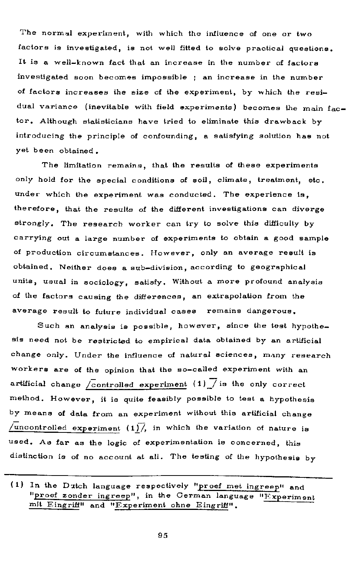The normal experiment, with which the influence of one or two factors is investigated, is not well fitted to solve practical questions. It is a well-known fact that an increase in the number of factors investigated soon becomes impossible ; an increase in the number of factors increases the size of the experiment, by which the residual variance (inevitable with field experiments) becomes the main  $fac$ tor. Although statisticians have tried to eliminate this drawback byintroducing the principle of confounding, a satisfying solution has not yet been obtained.

The limitation remains, that the results of these experiments only hold for the special conditions of soil, climate, treatment, etc. under which the experiment was conducted. The experience is. therefore, that the results of the different investigations can diverge strongly. The research worker can try to solve this difficulty by carrying out a large number of experiments to obtain a good sample of production circumstances. However, only an average result is obtained. Neither does a sub-division, according to geographical units, usual in sociology, satisfy. Without a more profound analysis of the factors causing the differences, an extrapolation from the average result to future individual cases remains dangerous.

Such an analysis is possible, however, since the test hypothesis need not be restricted to empirical data obtained by an artificial change only. Under the influence of natural sciences, many research workers are of the opinion that the so-called experiment with an artificial change  $\sqrt{\text{controlled}}$  experiment (1)  $\sqrt{\ }$  is the only correct method. However, it is quite feasibly possible to test a hypothesis by means of data from an experiment without this artificial change /uncontrolled experiment  $(1)/$ , in which the variation of nature is used. As far as the logic of experimentation is concerned, this distinction is of no account at all. The testing of the hypothesis by

<sup>(1)</sup> In the Dutch language respectively "proef met ingreep" and "proef zonder ingreep", in the German language "Experiment mit Eingriff" and "Experiment ohne Eingriff".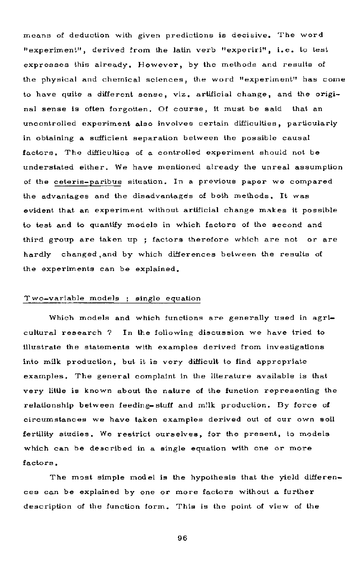means of deduction with given predictions is decisive. The word "experiment", derived from the latin verb "experiri", i.e. to test expresses this already. However, by the methods and results of the physical and chemical sciences, the word "experiment" has come to have quite a different sense, viz. artificial change, and the original sense is often forgotten. Of course, it must be said that an uncontrolled experiment also involves certain difficulties, particularly in obtaining a sufficient separation between the possible causal factors. The difficulties of a controlled experiment should not be understated either. We have mentioned already the unreal assumption of the ceteris-paribus situation. In a previous paper we compared the advantages and the disadvantages of both methods. It was evident that an experiment without artificial change makes it possible to test and to quantify models in which factors of the second and third group are taken up ; factors therefore which are not or are hardly changed, and by which differences between the results of the experiments can be explained.

#### Two-variable models ; single equation

Which models and which functions are generally used in agricultural research ? In the following discussion we have tried to illustrate the statements with examples derived from investigations into milk production, but it is very difficult to find appropriate examples. The general complaint in the literature available is that very little is known about the nature of the function representing the relationship between feeding-stuff and milk production. By force of circumstances we have taken examples derived out of our own soil fertility studies. We restrict ourselves, for the present, to models which can be described in a single equation with one or more factors .

The most simple model is the hypothesis that the yield differences can be explained by one or more factors without a further description of the function form. This is the point of view of the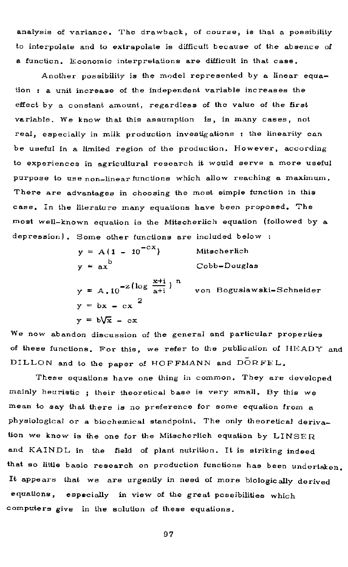analysis of variance. The drawback, of course, is that a possibility to interpolate and to extrapolate is difficult because of the absence of a function. Economic interpretations are difficult in that case.

Another possibility is the model represented by a linear equation  $: a$  unit increase of the independent variable increases the effect by a constant amount, regardless of the value of the first variable. We know that this assumption is, in many cases, not real, especially in milk production investigations : the linearity can be useful in a limited region of the production. However, according to experiences in agricultural research it would serve a more useful purpose to use non-linear functions which allow reaching a maximum. There are advantages in choosing the most simple function in this case. In the literature many equations have been proposed. The most well-known equation is the Mitscherlich equation (followed by a depression). Some other functions are included below :

> $y = A(1 - 10^{-CX})$  Mitscherlich  $y = ax$  Cobb-Douglas  $-z$  (log  $\frac{x+i}{x}$ )  $y = A$ , 10  $a_{\text{min}}$  a+i von Boguslawski-Schneider

 $y = bx - cx^2$  $y = b\sqrt{x} - cx$ 

We now abandon discussion of the general and particular properties of these functions. For this, we refer to the publication of HEADY and DILLON and to the paper of HOFFMANN and DORFEL.

These equations have one thing in common. They are developed mainly heuristic ; their theoretical base is very small. By this we mean to say that there is no preference for some equation from a physiological or a biochemical standpoint. The only theoretical derivation we know is the one for the Mitscherlich equation by  $LINSER$ and KAINDL in the field of plant nutrition. It is striking indeed that so little basic research on production functions has been undertaken. It appears that we are urgently in need of more biologically derived equations, especially in view of the great possibilities which computers give in the solution of these equations. computers give in the solution of thes e equations.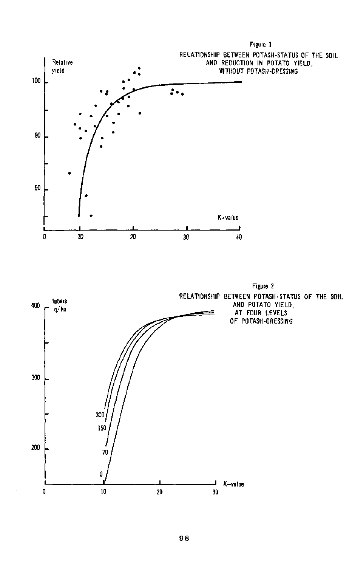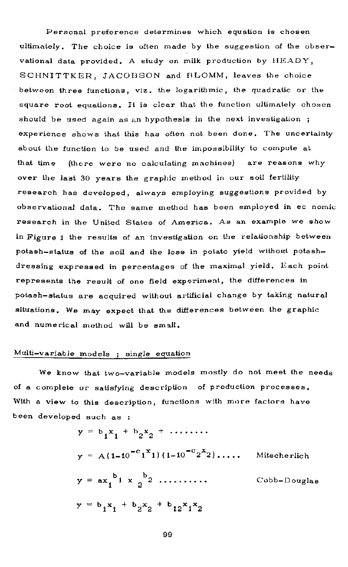Personal preference determines which equation is chosen ultimately. The choice is often made by the suggestion of the observational data provided. A study on milk production by  $HEADY$ , SCHNITTKER, JACOBSON and BLOMM, leaves the choice between three functions, viz, the logarithmic, the quadratic or the square root equations. It is clear that the function ultimately chosen should be used again as an hypothesis in the next investigation ; experience shows that this has often not been done. The uncertainty about the function to be used and the impossibility to compute at that time (there were no calculating machines) are reasons why over the last 30 years the graphic method in our soil fertility research has developed, always employing suggestions provided by observational data. The same method has been employed in ec nomic research in the United States of America. As an example we show in Figure 1 the results of an investigation on the relationship between potash-status of the soil and the loss in potato yield without potashdressing expressed in percentages of the maximal yield. Each point represents the result of one field experiment, the differences in potash-status are acquired without artificial change by taking natural situations. We may expect that the differences between the graphic and numerical method will be small.

#### Multi-variable models ; single equation

We know that two-variable models mostly do not meet the needs of a complete or satisfying description of production processes. With a view to this description, functions with more factors have been developed such as :

$$
y = b_1 x_1 + b_2 x_2 + \dots
$$
  
\n
$$
y = A(1-10^{-c_1}x_1)(1-10^{-c_2}x_2)\dots
$$
 Mitscherlich  
\n
$$
y = ax_1^{b_1} x_2^{b_2} \dots
$$
  
\n
$$
y = b_1 x_1 + b_2 x_2 + b_1 2 x_1 x_2
$$
  
\nCobb-Douglas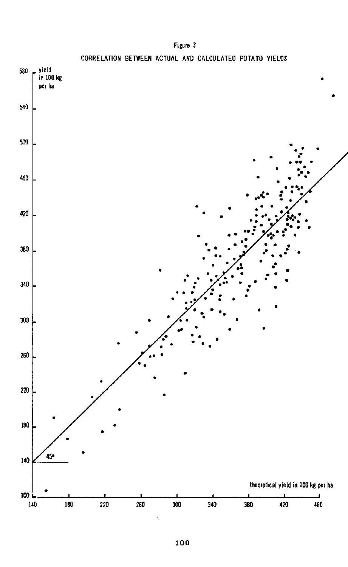

### **Figure 3**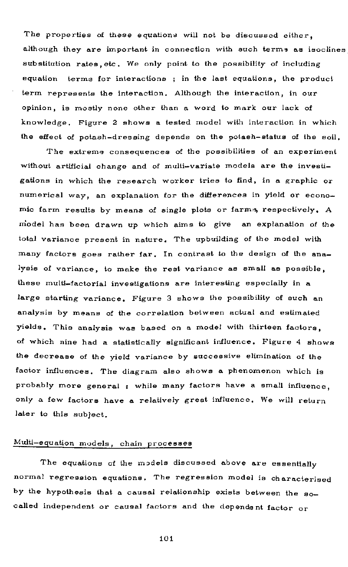The properties of these equations will not be discussed either, although they are important in connection with such terms as isoclines substitution rates etc. We only point to the possibility of including equation terms for interactions; in the last equations, the product term represents the interaction. Although the interaction, in our opinion, is mostly none other than a word to mark our lack of knowledge. Figure 2 shows a tested model with interaction in which the effect of potash-dressing depends on the potash-status of the soil.

The extreme consequences of the possibilities of an experiment without artificial change and of multi-variate models are the investigations in which the research worker tries to find, in a graphic or numerical way, an explanation for the differences in yield or economic farm results by means of single plots or farms, respectively. A model has been drawn up which aims to give an explanation of the total variance present in nature. The upbuilding of the model with many factors goes rather far. In contrast to the design of the analysis of variance, to make the rest variance as small as possible, these multi-factorial investigations are interesting especially in a large starting variance. Figure 3 shows the possibility of such an analysis by means of the correlation between actual and estimated yields. This analysis was based on a model with thirteen factors. of which nine had a statistically significant influence. Figure 4 shows the decrease of the yield variance by successive elimination of the factor influences. The diagram also shows a phenomenon which is probably more general : while many factors have a small influence, only a few factors have a relatively great influence. We will return later to this subject.

### Multi-equation models, chain processes

The equations of the models discussed above are essentially normal regression equations. The regression model is characterised by the hypothesis that a causal relationship exists between the socalled independent or causal factors and the dependent factor or

1 0 1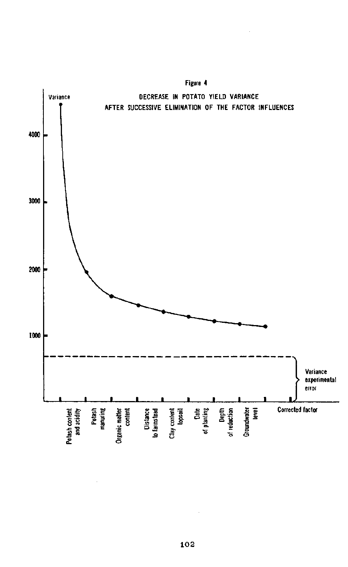

**1 02**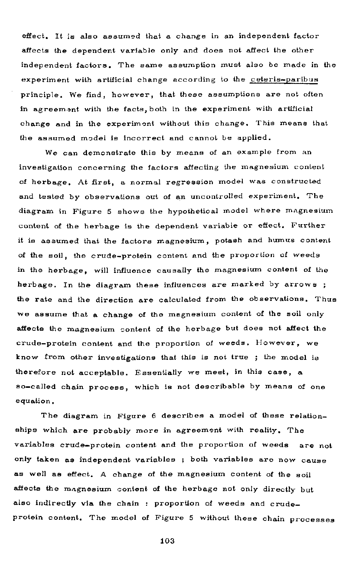effect. It is also assumed that a change in an independent factor affects the dependent variable only and does not affect the other independent factors. The same assumption must also be made in the experiment with artificial change according to the ceteris-paribus principle. We find, however, that these assumptions are not often in agreement with the facts, both in the experiment with artificial change and in the experiment without this change. This means that the assumed model is incorrect and cannot be applied.

We can demonstrate this by means of an example from an investigation concerning the factors affecting the magnesium content of herbage. At first, a normal regression model was constructed and tested by observations out of an uncontrolled experiment. The diagram in Figure 5 shows the hypothetical model where magnesium content of the herbage is the dependent variable or effect. Further it is assumed that the factors magnesium, potash and humus content of the soil, the crude-protein content and the proportion of weeds in the herbage, will influence causally the magnesium content of the herbage. In the diagram these influences are marked by arrows; the rate and the direction are calculated from the observations. Thus we assume that a change of the magnesium content of the soil only affects the magnesium content of the herbage but does not affect the crude-protein content and the proportion of weeds. However, we know from other investigations that this is not true ; the model is therefore not acceptable. Essentially we meet, in this case, a so-called chain process, which is not describable by means of one equation .

The diagram in Figure 6 describes a model of these relationships which are probably more in agreement with reality. The variables crude-protein content and the proportion of weeds are not only taken as independent variables ; both variables are now cause as well as effect. A change of the magnesium content of the soil affects the magnesium content of the herbage not only directly but also indirectly via the chain : proportion of weeds and crudeprotein content. The model of Figure 5 without these chain processes

1 0 3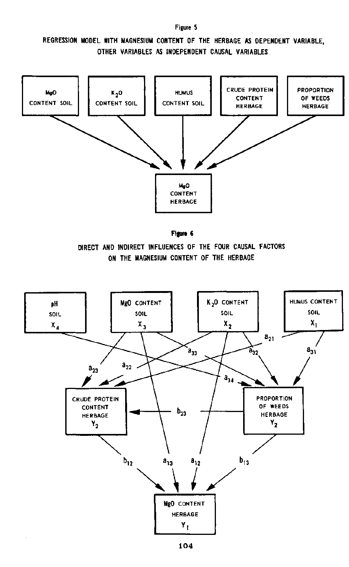### **REGRESSION MODEL WITH MAGNESIUM CONTENT OF THE HERBAGE AS DEPENDENT VARIABLE, OTHER VARIABLES AS INDEPENDENT CAUSAL VARIABLES**

**Figure 5** 



**Figure 6** 

**DIRECT AND INDIRECT INFLUENCES OF THE FOUR CAUSAL FACTORS ON THE MAGNESIUM CONTENT OF THE HERBAGE** 

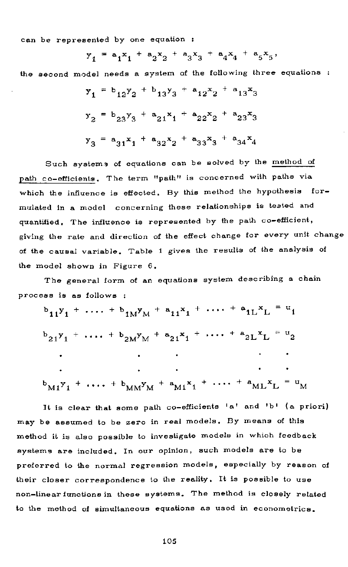can be represented by one equation

 $y_1 = a_1x_1 + a_2x_2 + a_3x_3 + a_4x_4$ the second model needs a system of the following three equations :  $y_1 = b_{12}y_2 + b_{13}y_3 + a_{12}x_2 + a_{13}y_3$  $y_2 = b_{23}y_3 + a_{21}x_1 + a_{22}x_2 + a_{23}$  $y_3 = a_{31}x_1 + a_{32}x_2 + a_{33}x_3 + a_3$ 

Such systems of equations can be solved by the method of path co-efficients. The term "path" is concerned with paths via which the influence is effected. By this method the hypothesis formulated in a model concerning these relationships is tested and quantified. The influence is represented by the path co-efficient, giving the rate and direction of the effect change for every unit change of the causal variable. Table 1 gives the results of the analysis of the model shown in Figure 6,

The general form of an equations system describing a chain process is as follows :

 $b_{11}y_1 + \cdots + b_{1M}y_M + a_{11}x_1 + \cdots + a_{1L}x_L$  $b_{21}y_1 + \cdots + b_{2M}y_M + a_{21}x_1 + \cdots + a_{2L}x_L$  $^{b}M1$ <sup>y</sup><sub>1</sub> +  $\cdots$  +  $^{b}M$ <sup>y</sup>M<sup>y</sup><sub>M</sub> +  $^{a}M1$ <sup>x</sup><sub>1</sub> +  $\cdots$  +  $^{a}ML$ <sup>x</sup>L

It is clear that some path co-efficients 'a' and 'b' (a priori) may be assumed to be zero in real models. By means of this method it is also possible to investigate models in which feedback systems are included. In our opinion, such models are to be preferred to the normal regression models, especially by reason of their closer correspondence to the reality. It is possible to use non-linear functions in these systems. The method is closely related to the method of simultaneous equations as used in econometrics.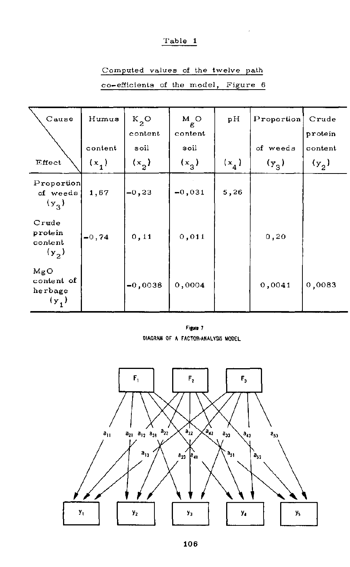### $Table 1$

| Cause                                    | Humus   | $K_{2}O$<br>content | м о<br>g<br>content | pН      | Proportion         | Crude<br>protein |
|------------------------------------------|---------|---------------------|---------------------|---------|--------------------|------------------|
|                                          | content | soil                | soil                |         | of weeds           | content          |
| Effect                                   | $(x_1)$ | (x, )               | $(x_{3})$           | $(x_4)$ | $(v_{\mathbf{q}})$ | $(y_{2})$        |
| Proportion<br>of weeds<br>$(y_{\alpha})$ | 1,67    | $-0, 23$            | $-0.031$            | 5,26    |                    |                  |
| Crude<br>protein<br>content<br>$(y_2)$   | $-0,74$ | 0, 11               | 0,011               |         | 0, 20              |                  |
| MgO<br>content of<br>herbage<br>$(y_1)$  |         | $-0,0038$           | 0,0004              |         | 0,0041             | 0,0083           |

# Computed values of the twelve path

| co-efficients of the model, Figure 6 |  |  |
|--------------------------------------|--|--|
|                                      |  |  |

**Figure 7 DIAGRAM OF A FACTOR-ANALYSIS MODEL** 

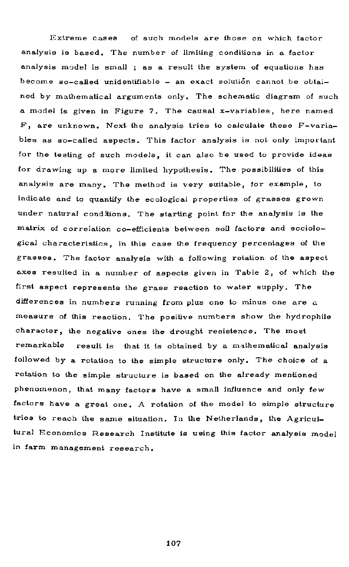Extreme cases of such models are those on which factor analysis is based. The number of limiting conditions in a factor analysis model is small ; as a result the system of equations has become so—called unidentifiable — an exact solution cannot be obtained by mathematical arguments only. The schematic diagram of such a model is given in Figure 7. The causal  $x$ -variables, here named  $F$ , are unknown. Next the analysis tries to calculate these  $F$ -variables as so-called aspects. This factor analysis is not only important for the testing of such models, it can also be used to provide ideas for drawing up a more limited hypothesis. The possibilities of this analysis are many. The method is very suitable, for example, to indicate and to quantify the ecological properties of grasses grown under natural conditions. The starting point for the analysis is the matrix of correlation co-efficients between soil factors and sociological characteristics, in this case the frequency percentages of the grasses. The factor analysis with a following rotation of the aspect axes resulted in a number of aspects given in Table 2, of which the first aspect represents the grass reaction to water supply. The differences in numbers running from plus one to minus one are a measure of this reaction. The positive numbers show the hydrophile character, the negative ones the drought resistence. The most remarkable result is that it is obtained by a mathematical analysis followed by a rotation to the simple structure only. The choice of a rotation to the simple structure is based on the already mentioned phenomenon, that many factors have a small influence and only few factors have a great one. A rotation of the model to simple structure tries to reach the same situation. In the Netherlands, the Agricultural Economics Research Institute is using this factor analysis model in farm management research .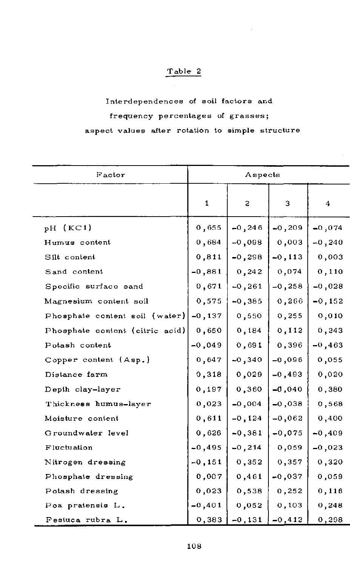## Table 2

Interdependences of soil factors and frequency percentages of grasses; aspect values after rotation to simple structure

| Factor                          |              | Aspects   |           |          |
|---------------------------------|--------------|-----------|-----------|----------|
|                                 | $\mathbf{1}$ | s.        | з         | 4        |
| $pH$ (KC1)                      | 0,655        | $-0, 246$ | $-0,209$  | $-0,074$ |
| Humus content                   | 0,684        | $-0,098$  | 0,003     | $-0,240$ |
| Silt content                    | 0,811        | $-0,298$  | $-0, 113$ | 0,003    |
| Sand content                    | $-0,881$     | 0, 242    | 0,074     | 0,110    |
| Specific surface sand           | 0,671        | $-0, 261$ | $-0,258$  | $-0,028$ |
| Magnesium content soil          | 0,575        | $-0,385$  | 0,266     | $-0,152$ |
| Phosphate content soil (water)  | $-0,137$     | 0,550     | 0,255     | 0,010    |
| Phosphate content (citric acid) | 0,650        | 0,184     | 0,112     | 0,243    |
| Potash content                  | $-0,049$     | 0,691     | 0,396     | $-0,463$ |
| Copper content (Asp.)           | 0,647        | $-0,340$  | $-0,096$  | 0,055    |
| Distance farm                   | 0,318        | 0,029     | $-0,493$  | 0,020    |
| Depth clay-layer                | 0,197        | 0,360     | $-0,040$  | 0,380    |
| Thickness humus-layer           | 0,023        | $-0,004$  | $-0,038$  | 0,568    |
| Moisture content                | 0,611        | $-0,124$  | $-0,062$  | 0,400    |
| Groundwater level               | 0,626        | $-0, 381$ | $-0,075$  | $-0,409$ |
| Fluctuation                     | $-0, 495$    | $-0, 214$ | 0,059     | $-0,023$ |
| Nitrogen dressing               | $-0, 151$    | 0, 352    | 0,357     | 0,320    |
| Phosphate dressing              | 0,007        | 0,461     | $-0,037$  | 0,059    |
| Potash dressing                 | 0,023        | 0,538     | 0,252     | 0,116    |
| Poa pratensis L.                | $-0, 401$    | 0.052     | 0,103     | 0,248    |
| Festuca rubra L.                | 0,383        | $-0, 131$ | $-0.412$  | 0,298    |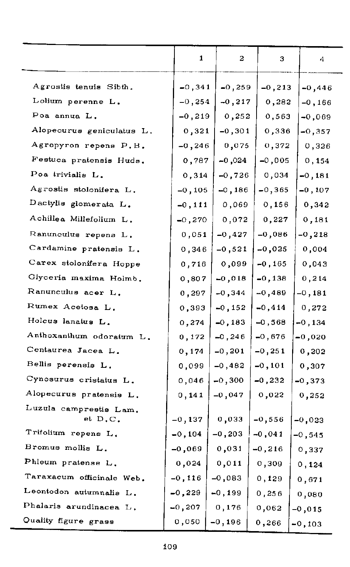|                           | $\mathbf{1}$ | 2         | з         | 4         |
|---------------------------|--------------|-----------|-----------|-----------|
| Agrostis tenuis Sibth.    | $-0, 341$    | $-0,259$  | $-0, 213$ | $-0,446$  |
| Lolium perenne L.         | $-0.254$     | $-0,217$  | 0,282     | $-0.166$  |
| Poa annua L.              | $-0,219$     | 0,252     | 0,563     | $-0,069$  |
| Alopecurus geniculatus L. | 0,321        | $-0,301$  | 0,336     | $-0,357$  |
| Agropyron repens P. B.    | $-0, 246$    | 0,075     | 0.372     | 0,326     |
| Festuca pratensis Huds.   | 0,787        | -0,024    | $-0,005$  | 0,154     |
| Poa trivialis L.          | 0,314        | $-0,726$  | 0.034     | $-0,181$  |
| Agrostis stolonifera L.   | $-0, 105$    | $-0,186$  | $-0,365$  | $-0, 107$ |
| Dactylis glomerata L.     | $-0,111$     | 0,069     | 0, 156    | 0,342     |
| Achillea Millefolium L.   | $-0,270$     | 0,072     | 0,227     | 0.181     |
| Ranunculus repens L.      | 0,051        | $-0,427$  | $-0,086$  | $-0,218$  |
| Cardamine pratensis L.    | 0,346        | $-0,521$  | $-0,025$  | 0,004     |
| Carex stolonifera Hoppe   | 0,716        | 0,099     | $-0, 165$ | 0,043     |
| Glyceria maxima Holmb.    | 0,807        | $-0,018$  | $-0,138$  | 0,214     |
| Ranunculus acer L.        | 0,297        | $-0,344$  | $-0,489$  | $-0,181$  |
| Rumex Acetosa L.          | 0,393        | $-0,152$  | $-0,414$  | 0,272     |
| Holcus lanatus L.         | 0.274        | $-0, 183$ | $-0,568$  | $-0,134$  |
| Anthoxanthum odoratum L.  | 0,172        | $-0, 246$ | $-0,676$  | -0,020    |
| Centaurea Jacea L.        | 0,174        | $-0, 201$ | $-0, 251$ | 0,202     |
| Bellis perensis L.        | 0,099        | $-0,482$  | $-0, 101$ | 0,307     |
| Cynosurus cristatus L.    | 0,046        | $-0,300$  | $-0,232$  | $-0,373$  |
| Alopecurus pratensis L.   | 0,141        | $-0,047$  | 0,022     | 0,252     |
| Luzula camprestis Lam.    |              |           |           |           |
| et D.C.                   | $-0,137$     | 0,033     | $-0,556$  | $-0,023$  |
| Trifolium repens L.       | $-0, 104$    | $-0, 203$ | $-0,041$  | $-0,545$  |
| Bromus mollis L.          | $-0,069$     | 0,031     | $-0,216$  | 0,337     |
| Phleum pratense L.        | 0.024        | 0,011     | 0,309     | 0,124     |
| Taraxacum officinale Web. | $-0, 116$    | $-0,083$  | 0,129     | 0,671     |
| Leontodon autumnalis L.   | $-0,229$     | $-0,199$  | 0,256     | 0,080     |
| Phalaris arundinacea L.   | $-0,207$     | 0,176     | 0,062     | $-0,015$  |
| Quality figure grass      | 0,050        | $-0,196$  | 0,266     | $-0,103$  |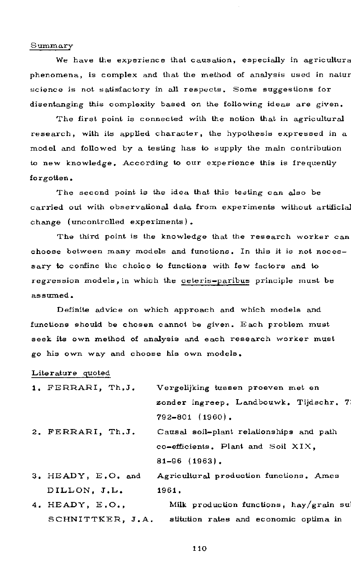#### **Summary**

We have the experience that causation, especially in agricultura phenomena, is complex and that the method of analysis used in natur science is not satisfactory in all respects. Some suggestions for disentanging this complexity based on the following ideas are given.

The first point is connected with the notion that in agricultural research, with its applied character, the hypothesis expressed in a model and followed by a testing has to supply the main contribution to new knowledge. According to our experience this is frequently forgotten.

The second point is the idea that this testing can also be carried out with observational data from experiments without artificial change (uncontrolled experiments).

The third point is the knowledge that the research worker can choose between many models and functions. In this it is not necessary to confine the choice to functions with few factors and to regression models, in which the ceteris-paribus principle must be assumed .

Definite advice on which approach and which models and functions should be chosen cannot be given. Each problem must seek its own method of analysis and each research worker must go his own way and choose his own models.

#### Literature quoted

| 1. FERRARI, Th.J.  | Vergelijking tussen proeven met en       |
|--------------------|------------------------------------------|
|                    | zonder ingreep. Landbouwk. Tijdschr. 7   |
|                    | $792 - 801$ (1960).                      |
| 2. FERRARI, Th.J.  | Causal soil-plant relationships and path |
|                    | co-efficients. Plant and Soil XIX.       |
|                    | $81 - 96$ (1963).                        |
| 3. HEADY, E.O. and | Agricultural production functions. Ames  |

DILLON, J.L. 1961.

4. HEADY, E.O., Milk production functions, hay/grain su SCHNITTKER, J.A. stitution rates and economic optima in